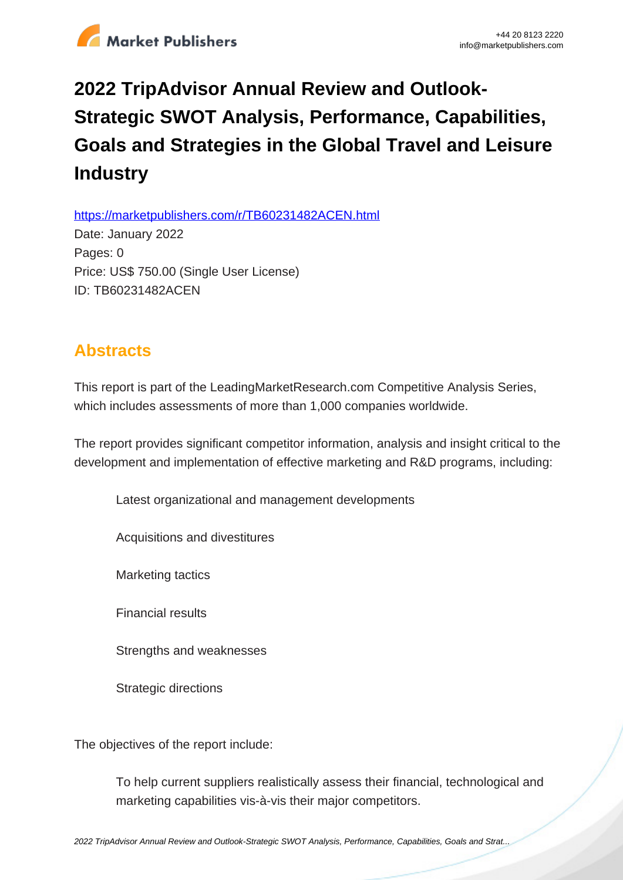

## **2022 TripAdvisor Annual Review and Outlook-Strategic SWOT Analysis, Performance, Capabilities, Goals and Strategies in the Global Travel and Leisure Industry**

https://marketpublishers.com/r/TB60231482ACEN.html

Date: January 2022 Pages: 0 Price: US\$ 750.00 (Single User License) ID: TB60231482ACEN

## **Abstracts**

This report is part of the LeadingMarketResearch.com Competitive Analysis Series, which includes assessments of more than 1,000 companies worldwide.

The report provides significant competitor information, analysis and insight critical to the development and implementation of effective marketing and R&D programs, including:

Latest organizational and management developments

Acquisitions and divestitures

Marketing tactics

Financial results

Strengths and weaknesses

Strategic directions

The objectives of the report include:

To help current suppliers realistically assess their financial, technological and marketing capabilities vis-à-vis their major competitors.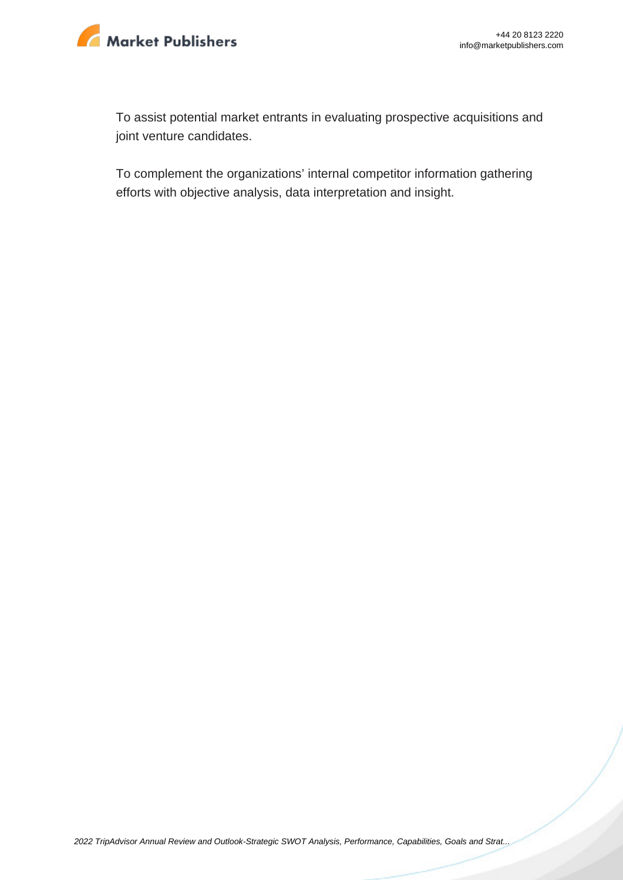

To assist potential market entrants in evaluating prospective acquisitions and joint venture candidates.

To complement the organizations' internal competitor information gathering efforts with objective analysis, data interpretation and insight.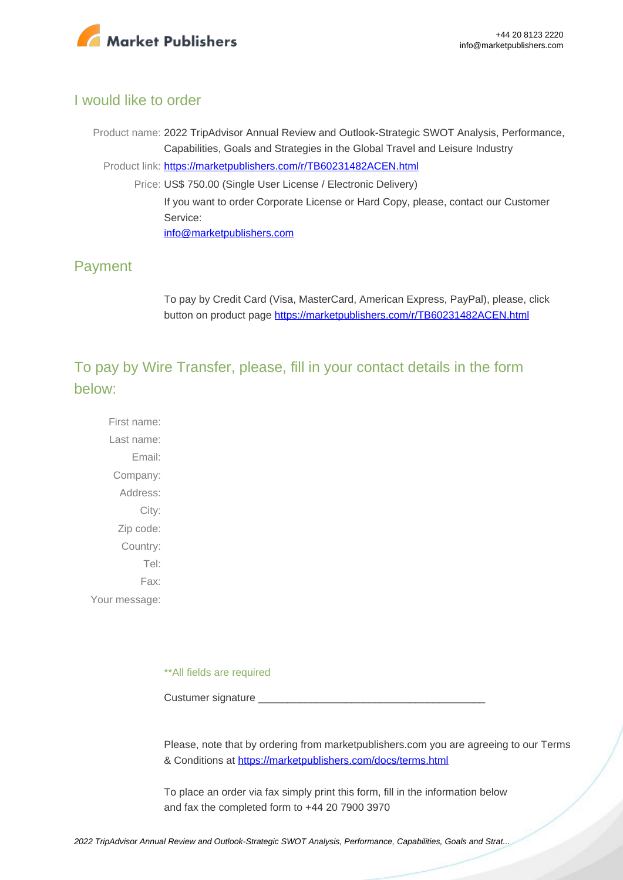

## I would like to order

Product name: 2022 TripAdvisor Annual Review and Outlook-Strategic SWOT Analysis, Performance, Capabilities, Goals and Strategies in the Global Travel and Leisure Industry Product link: [https://marketpublishers.com/r/TB60231482ACEN.html](https://marketpublishers.com/report/services/travel-leisure/tripadvisor-annual-review-n-outlook-strategic-swot-analysis-performance-capabilities-goals-n-strategies-in-global-travel-n-leisure-industry.html) Price: US\$ 750.00 (Single User License / Electronic Delivery) If you want to order Corporate License or Hard Copy, please, contact our Customer Service: [info@marketpublishers.com](mailto:info@marketpublishers.com)

## Payment

To pay by Credit Card (Visa, MasterCard, American Express, PayPal), please, click button on product page [https://marketpublishers.com/r/TB60231482ACEN.html](https://marketpublishers.com/report/services/travel-leisure/tripadvisor-annual-review-n-outlook-strategic-swot-analysis-performance-capabilities-goals-n-strategies-in-global-travel-n-leisure-industry.html)

To pay by Wire Transfer, please, fill in your contact details in the form below:

First name: Last name: Email: Company: Address: City: Zip code: Country: Tel: Fax: Your message:

\*\*All fields are required

Custumer signature

Please, note that by ordering from marketpublishers.com you are agreeing to our Terms & Conditions at<https://marketpublishers.com/docs/terms.html>

To place an order via fax simply print this form, fill in the information below and fax the completed form to +44 20 7900 3970